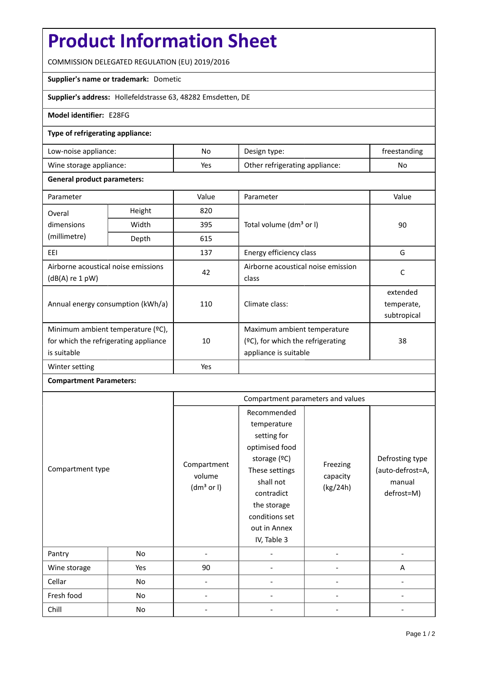# **Product Information Sheet**

COMMISSION DELEGATED REGULATION (EU) 2019/2016

#### **Supplier's name or trademark:** Dometic

**Supplier's address:** Hollefeldstrasse 63, 48282 Emsdetten, DE

### **Model identifier:** E28FG

#### **Type of refrigerating appliance:**

| Low-noise appliance:    | No. | Design type:                   | freestanding |
|-------------------------|-----|--------------------------------|--------------|
| Wine storage appliance: | Yes | Other refrigerating appliance: | No           |

#### **General product parameters:**

| Parameter                                              |        | Value | Parameter                           | Value       |  |
|--------------------------------------------------------|--------|-------|-------------------------------------|-------------|--|
| Overal                                                 | Height | 820   |                                     | 90          |  |
| dimensions                                             | Width  | 395   | Total volume (dm <sup>3</sup> or I) |             |  |
| (millimetre)                                           | Depth  | 615   |                                     |             |  |
| EEI                                                    |        | 137   | Energy efficiency class             | G           |  |
| Airborne acoustical noise emissions<br>(dB(A) re 1 pW) |        | 42    | Airborne acoustical noise emission  | C           |  |
|                                                        |        |       | class                               |             |  |
| Annual energy consumption (kWh/a)                      |        | 110   | Climate class:                      | extended    |  |
|                                                        |        |       |                                     | temperate,  |  |
|                                                        |        |       |                                     | subtropical |  |
| Minimum ambient temperature (°C),                      |        |       | Maximum ambient temperature         |             |  |
| for which the refrigerating appliance                  |        | 10    | (ºC), for which the refrigerating   | 38          |  |
| is suitable                                            |        |       | appliance is suitable               |             |  |
| Winter setting                                         |        | Yes   |                                     |             |  |

## **Compartment Parameters:**

| Compartment type |     | Compartment parameters and values               |                                                                                                                                                                                          |                                  |                                                             |
|------------------|-----|-------------------------------------------------|------------------------------------------------------------------------------------------------------------------------------------------------------------------------------------------|----------------------------------|-------------------------------------------------------------|
|                  |     | Compartment<br>volume<br>(dm <sup>3</sup> or I) | Recommended<br>temperature<br>setting for<br>optimised food<br>storage (°C)<br>These settings<br>shall not<br>contradict<br>the storage<br>conditions set<br>out in Annex<br>IV, Table 3 | Freezing<br>capacity<br>(kg/24h) | Defrosting type<br>(auto-defrost=A,<br>manual<br>defrost=M) |
| Pantry           | No  |                                                 |                                                                                                                                                                                          |                                  |                                                             |
| Wine storage     | Yes | 90                                              |                                                                                                                                                                                          |                                  | A                                                           |
| Cellar           | No  |                                                 |                                                                                                                                                                                          |                                  |                                                             |
| Fresh food       | No  |                                                 |                                                                                                                                                                                          |                                  |                                                             |
| Chill            | No  |                                                 |                                                                                                                                                                                          |                                  |                                                             |